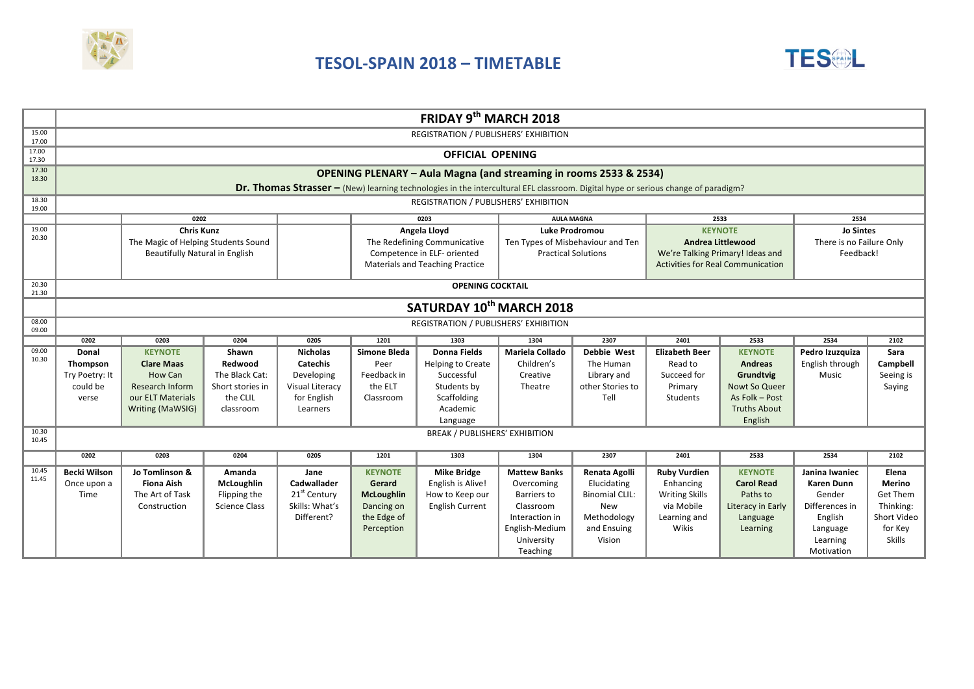

## **TESOL-SPAIN 2018 – TIMETABLE**



|                | FRIDAY 9th MARCH 2018                                                                                                             |                   |                      |                          |                              |                                       |                                   |                       |                                          |                     |                          |             |
|----------------|-----------------------------------------------------------------------------------------------------------------------------------|-------------------|----------------------|--------------------------|------------------------------|---------------------------------------|-----------------------------------|-----------------------|------------------------------------------|---------------------|--------------------------|-------------|
| 15.00<br>17.00 | REGISTRATION / PUBLISHERS' EXHIBITION                                                                                             |                   |                      |                          |                              |                                       |                                   |                       |                                          |                     |                          |             |
| 17.00<br>17.30 | <b>OFFICIAL OPENING</b>                                                                                                           |                   |                      |                          |                              |                                       |                                   |                       |                                          |                     |                          |             |
| 17.30<br>18.30 | <b>OPENING PLENARY - Aula Magna (and streaming in rooms 2533 &amp; 2534)</b>                                                      |                   |                      |                          |                              |                                       |                                   |                       |                                          |                     |                          |             |
|                | Dr. Thomas Strasser - (New) learning technologies in the intercultural EFL classroom. Digital hype or serious change of paradigm? |                   |                      |                          |                              |                                       |                                   |                       |                                          |                     |                          |             |
| 18.30<br>19.00 | REGISTRATION / PUBLISHERS' EXHIBITION                                                                                             |                   |                      |                          |                              |                                       |                                   |                       |                                          |                     |                          |             |
|                | 0202<br>0203<br><b>AULA MAGNA</b><br>2533<br>2534                                                                                 |                   |                      |                          |                              |                                       |                                   |                       |                                          |                     |                          |             |
| 19.00<br>20.30 | <b>Chris Kunz</b>                                                                                                                 |                   |                      |                          | Angela Lloyd                 |                                       | <b>Luke Prodromou</b>             |                       | <b>KEYNOTE</b>                           |                     | <b>Jo Sintes</b>         |             |
|                | The Magic of Helping Students Sound                                                                                               |                   |                      |                          | The Redefining Communicative |                                       | Ten Types of Misbehaviour and Ten |                       | <b>Andrea Littlewood</b>                 |                     | There is no Failure Only |             |
|                | Beautifully Natural in English                                                                                                    |                   |                      |                          | Competence in ELF- oriented  |                                       | <b>Practical Solutions</b>        |                       | We're Talking Primary! Ideas and         |                     | Feedback!                |             |
|                |                                                                                                                                   |                   |                      |                          |                              | Materials and Teaching Practice       |                                   |                       | <b>Activities for Real Communication</b> |                     |                          |             |
| 20.30<br>21.30 | <b>OPENING COCKTAIL</b>                                                                                                           |                   |                      |                          |                              |                                       |                                   |                       |                                          |                     |                          |             |
|                | SATURDAY 10 <sup>th</sup> MARCH 2018                                                                                              |                   |                      |                          |                              |                                       |                                   |                       |                                          |                     |                          |             |
| 08.00          |                                                                                                                                   |                   |                      |                          |                              | REGISTRATION / PUBLISHERS' EXHIBITION |                                   |                       |                                          |                     |                          |             |
| 09.00          | 0202                                                                                                                              | 0203              | 0204                 | 0205                     | 1201                         | 1303                                  | 1304                              | 2307                  | 2401                                     | 2533                | 2534                     | 2102        |
| 09.00          | Donal                                                                                                                             | <b>KEYNOTE</b>    | Shawn                | <b>Nicholas</b>          | Simone Bleda                 | Donna Fields                          | Mariela Collado                   | <b>Debbie West</b>    | <b>Elizabeth Beer</b>                    | <b>KEYNOTE</b>      | Pedro Izuzquiza          | Sara        |
| 10.30          | Thompson                                                                                                                          | <b>Clare Maas</b> | Redwood              | <b>Catechis</b>          | Peer                         | <b>Helping to Create</b>              | Children's                        | The Human             | Read to                                  | <b>Andreas</b>      | English through          | Campbell    |
|                | Try Poetry: It                                                                                                                    | How Can           | The Black Cat:       | Developing               | Feedback in                  | Successful                            | Creative                          | Library and           | Succeed for                              | Grundtvig           | Music                    | Seeing is   |
|                | could be                                                                                                                          | Research Inform   | Short stories in     | Visual Literacy          | the ELT                      | Students by                           | Theatre                           | other Stories to      | Primary                                  | Nowt So Queer       |                          | Saying      |
|                | verse                                                                                                                             | our ELT Materials | the CLIL             | for English              | Classroom                    | Scaffolding                           |                                   | Tell                  | Students                                 | As Folk - Post      |                          |             |
|                |                                                                                                                                   | Writing (MaWSIG)  | classroom            | Learners                 |                              | Academic                              |                                   |                       |                                          | <b>Truths About</b> |                          |             |
|                |                                                                                                                                   |                   |                      |                          |                              | Language                              |                                   |                       |                                          | English             |                          |             |
| 10.30<br>10.45 |                                                                                                                                   |                   |                      |                          |                              | <b>BREAK / PUBLISHERS' EXHIBITION</b> |                                   |                       |                                          |                     |                          |             |
|                | 0202                                                                                                                              | 0203              | 0204                 | 0205                     | 1201                         | 1303                                  | 1304                              | 2307                  | 2401                                     | 2533                | 2534                     | 2102        |
| 10.45          | <b>Becki Wilson</b>                                                                                                               | Jo Tomlinson &    | Amanda               | Jane                     | <b>KEYNOTE</b>               | <b>Mike Bridge</b>                    | <b>Mattew Banks</b>               | Renata Agolli         | <b>Ruby Vurdien</b>                      | <b>KEYNOTE</b>      | Janina Iwaniec           | Elena       |
| 11.45          | Once upon a                                                                                                                       | <b>Fiona Aish</b> | McLoughlin           | Cadwallader              | Gerard                       | English is Alive!                     | Overcoming                        | Elucidating           | Enhancing                                | <b>Carol Read</b>   | <b>Karen Dunn</b>        | Merino      |
|                | Time                                                                                                                              | The Art of Task   | Flipping the         | 21 <sup>st</sup> Century | <b>McLoughlin</b>            | How to Keep our                       | Barriers to                       | <b>Binomial CLIL:</b> | <b>Writing Skills</b>                    | Paths to            | Gender                   | Get Them    |
|                |                                                                                                                                   | Construction      | <b>Science Class</b> | Skills: What's           | Dancing on                   | <b>English Current</b>                | Classroom                         | New                   | via Mobile                               | Literacy in Early   | Differences in           | Thinking:   |
|                |                                                                                                                                   |                   |                      | Different?               | the Edge of                  |                                       | Interaction in                    | Methodology           | Learning and                             | Language            | English                  | Short Video |
|                |                                                                                                                                   |                   |                      |                          | Perception                   |                                       | English-Medium                    | and Ensuing           | Wikis                                    | Learning            | Language                 | for Key     |
|                | University<br>Vision                                                                                                              |                   |                      |                          |                              |                                       |                                   |                       |                                          | Learning            | <b>Skills</b>            |             |
|                |                                                                                                                                   |                   |                      |                          |                              |                                       | Teaching                          |                       |                                          |                     | Motivation               |             |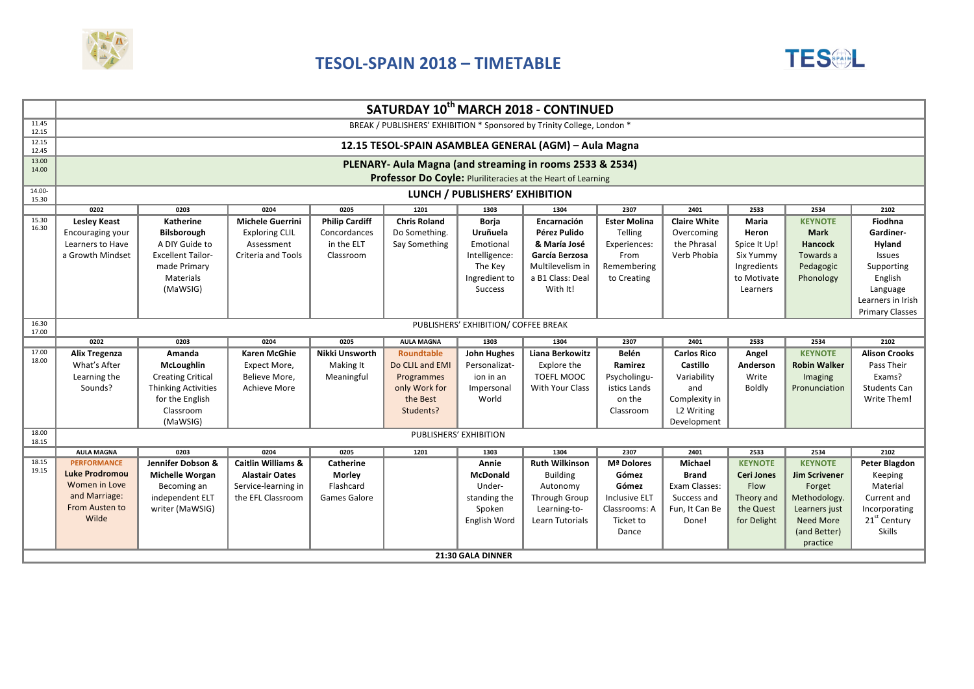

## **TESOL-SPAIN 2018 – TIMETABLE**



|                   | SATURDAY 10th MARCH 2018 - CONTINUED                                    |                            |                               |                       |                     |                                      |                        |                      |                     |                   |                      |                          |
|-------------------|-------------------------------------------------------------------------|----------------------------|-------------------------------|-----------------------|---------------------|--------------------------------------|------------------------|----------------------|---------------------|-------------------|----------------------|--------------------------|
| 11.45<br>12.15    | BREAK / PUBLISHERS' EXHIBITION * Sponsored by Trinity College, London * |                            |                               |                       |                     |                                      |                        |                      |                     |                   |                      |                          |
| 12.15<br>12.45    | 12.15 TESOL-SPAIN ASAMBLEA GENERAL (AGM) - Aula Magna                   |                            |                               |                       |                     |                                      |                        |                      |                     |                   |                      |                          |
| 13.00<br>14.00    | PLENARY- Aula Magna (and streaming in rooms 2533 & 2534)                |                            |                               |                       |                     |                                      |                        |                      |                     |                   |                      |                          |
|                   | Professor Do Coyle: Pluriliteracies at the Heart of Learning            |                            |                               |                       |                     |                                      |                        |                      |                     |                   |                      |                          |
| 14.00-<br>15.30   | LUNCH / PUBLISHERS' EXHIBITION                                          |                            |                               |                       |                     |                                      |                        |                      |                     |                   |                      |                          |
|                   | 0202                                                                    | 0203                       | 0204                          | 0205                  | 1201                | 1303                                 | 1304                   | 2307                 | 2401                | 2533              | 2534                 | 2102                     |
| 15.30<br>16.30    | <b>Lesley Keast</b>                                                     | Katherine                  | <b>Michele Guerrini</b>       | <b>Philip Cardiff</b> | <b>Chris Roland</b> | Borja                                | Encarnación            | <b>Ester Molina</b>  | <b>Claire White</b> | Maria             | <b>KEYNOTE</b>       | Fiodhna                  |
|                   | Encouraging your                                                        | Bilsborough                | <b>Exploring CLIL</b>         | Concordances          | Do Something.       | Uruñuela                             | Pérez Pulido           | Telling              | Overcoming          | Heron             | <b>Mark</b>          | Gardiner-                |
|                   | Learners to Have                                                        | A DIY Guide to             | Assessment                    | in the ELT            | Say Something       | Emotional                            | & María José           | Experiences:         | the Phrasal         | Spice It Up!      | Hancock              | Hyland                   |
|                   | a Growth Mindset                                                        | <b>Excellent Tailor-</b>   | Criteria and Tools            | Classroom             |                     | Intelligence:                        | García Berzosa         | From                 | Verb Phobia         | Six Yummy         | Towards a            | Issues                   |
|                   |                                                                         | made Primary               |                               |                       |                     | The Key                              | Multilevelism in       | Remembering          |                     | Ingredients       | Pedagogic            | Supporting               |
|                   |                                                                         | Materials                  |                               |                       |                     | Ingredient to                        | a B1 Class: Deal       | to Creating          |                     | to Motivate       | Phonology            | English                  |
|                   |                                                                         | (MaWSIG)                   |                               |                       |                     | <b>Success</b>                       | With It!               |                      |                     | Learners          |                      | Language                 |
|                   |                                                                         |                            |                               |                       |                     |                                      |                        |                      |                     |                   |                      | Learners in Irish        |
|                   |                                                                         |                            |                               |                       |                     |                                      |                        |                      |                     |                   |                      | <b>Primary Classes</b>   |
| 16.30<br>17.00    |                                                                         |                            |                               |                       |                     | PUBLISHERS' EXHIBITION/ COFFEE BREAK |                        |                      |                     |                   |                      |                          |
|                   | 0202                                                                    | 0203                       | 0204                          | 0205                  | <b>AULA MAGNA</b>   | 1303                                 | 1304                   | 2307                 | 2401                | 2533              | 2534                 | 2102                     |
| 17.00<br>18.00    | <b>Alix Tregenza</b>                                                    | Amanda                     | <b>Karen McGhie</b>           | Nikki Unsworth        | <b>Roundtable</b>   | <b>John Hughes</b>                   | <b>Liana Berkowitz</b> | <b>Belén</b>         | <b>Carlos Rico</b>  | Angel             | <b>KEYNOTE</b>       | <b>Alison Crooks</b>     |
|                   | What's After                                                            | <b>McLoughlin</b>          | Expect More,                  | Making It             | Do CLIL and EMI     | Personalizat-                        | Explore the            | Ramirez              | Castillo            | Anderson          | <b>Robin Walker</b>  | Pass Their               |
|                   | Learning the                                                            | <b>Creating Critical</b>   | Believe More,                 | Meaningful            | Programmes          | ion in an                            | <b>TOEFL MOOC</b>      | Psycholingu-         | Variability         | Write             | Imaging              | Exams?                   |
|                   | Sounds?                                                                 | <b>Thinking Activities</b> | Achieve More                  |                       | only Work for       | Impersonal                           | With Your Class        | istics Lands         | and                 | Boldly            | Pronunciation        | <b>Students Can</b>      |
|                   |                                                                         | for the English            |                               |                       | the Best            | World                                |                        | on the               | Complexity in       |                   |                      | Write Them!              |
|                   |                                                                         | Classroom                  |                               |                       | Students?           |                                      |                        | Classroom            | L2 Writing          |                   |                      |                          |
|                   |                                                                         | (MaWSIG)                   |                               |                       |                     |                                      |                        |                      | Development         |                   |                      |                          |
| 18.00<br>18.15    | PUBLISHERS' EXHIBITION                                                  |                            |                               |                       |                     |                                      |                        |                      |                     |                   |                      |                          |
|                   | <b>AULA MAGNA</b>                                                       | 0203                       | 0204                          | 0205                  | 1201                | 1303                                 | 1304                   | 2307                 | 2401                | 2533              | 2534                 | 2102                     |
| 18.15<br>19.15    | <b>PERFORMANCE</b>                                                      | Jennifer Dobson &          | <b>Caitlin Williams &amp;</b> | Catherine             |                     | Annie                                | <b>Ruth Wilkinson</b>  | Mª Dolores           | Michael             | <b>KEYNOTE</b>    | <b>KEYNOTE</b>       | <b>Peter Blagdon</b>     |
|                   | <b>Luke Prodromou</b>                                                   | <b>Michelle Worgan</b>     | <b>Alastair Oates</b>         | Morley                |                     | <b>McDonald</b>                      | <b>Building</b>        | Gómez                | <b>Brand</b>        | <b>Ceri Jones</b> | <b>Jim Scrivener</b> | Keeping                  |
|                   | Women in Love                                                           | Becoming an                | Service-learning in           | Flashcard             |                     | Under-                               | Autonomy               | Gómez                | Exam Classes:       | Flow              | Forget               | Material                 |
|                   | and Marriage:                                                           | independent ELT            | the EFL Classroom             | Games Galore          |                     | standing the                         | Through Group          | <b>Inclusive ELT</b> | Success and         | Theory and        | Methodology.         | Current and              |
|                   | From Austen to                                                          | writer (MaWSIG)            |                               |                       |                     | Spoken                               | Learning-to-           | Classrooms: A        | Fun, It Can Be      | the Quest         | Learners just        | Incorporating            |
|                   | Wilde                                                                   |                            |                               |                       |                     | English Word                         | Learn Tutorials        | Ticket to            | Done!               | for Delight       | <b>Need More</b>     | 21 <sup>st</sup> Century |
|                   |                                                                         |                            |                               |                       |                     |                                      |                        | Dance                |                     |                   | (and Better)         | <b>Skills</b>            |
|                   |                                                                         |                            |                               |                       |                     |                                      |                        |                      |                     |                   | practice             |                          |
| 21:30 GALA DINNER |                                                                         |                            |                               |                       |                     |                                      |                        |                      |                     |                   |                      |                          |